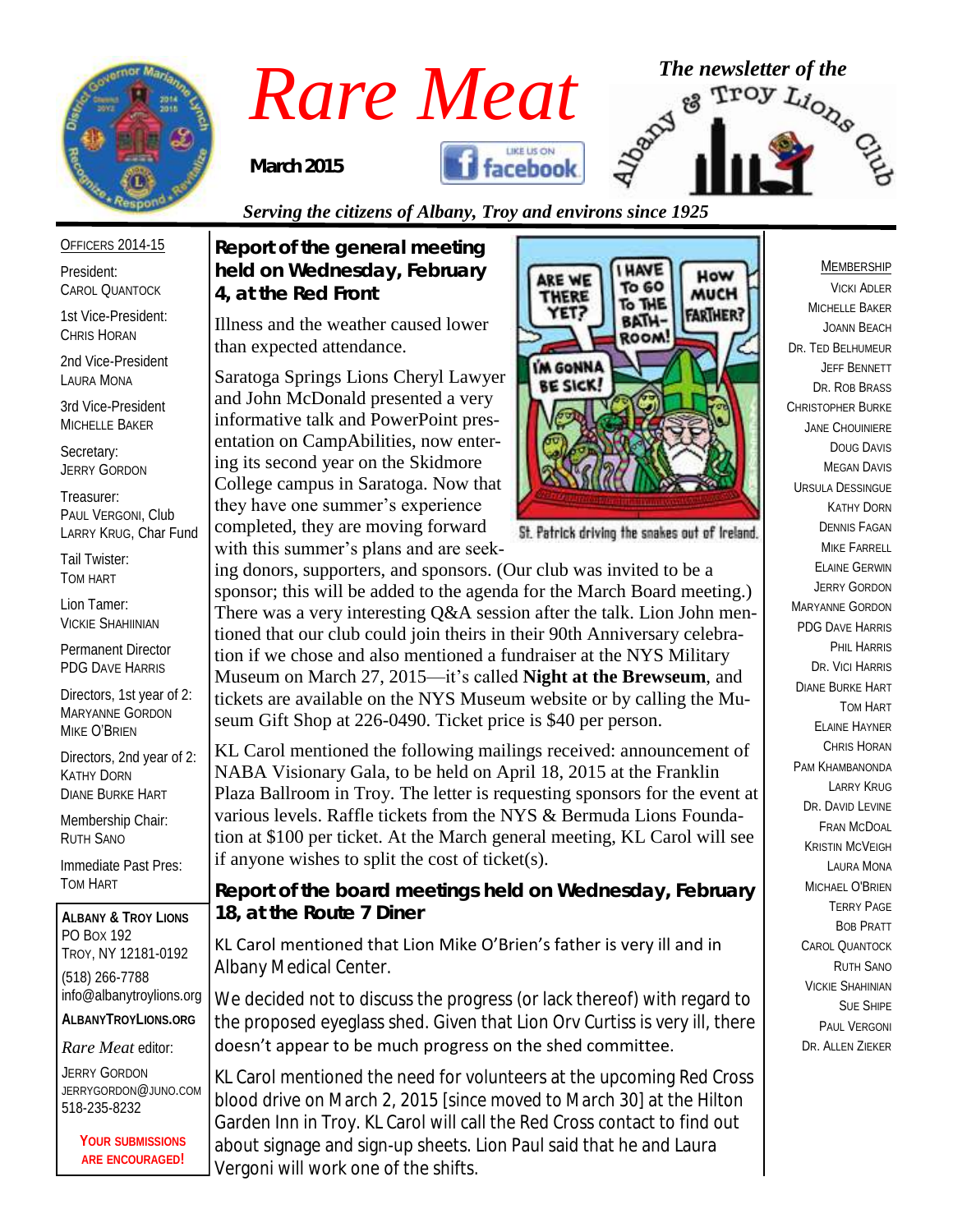

## *Rare Meat* <sup>The newsletter of the strong the strong of the strong strong the strong space of the</sup>

*March 2015*

*4, at the Red Front*

than expected attendance.

*Report of the general meeting held on Wednesday, February* 

Illness and the weather caused lower

ing its second year on the Skidmore

they have one summer's experience completed, they are moving forward with this summer's plans and are seek-



#### *Serving the citizens of Albany, Troy and environs since 1925*

OFFICERS 2014-15

President: CAROL QUANTOCK

1st Vice-President: CHRIS HORAN

2nd Vice-President LAURA MONA

3rd Vice-President MICHELLE BAKER

Secretary: JERRY GORDON

Treasurer: PAUL VERGONI, Club LARRY KRUG, Char Fund

Tail Twister: TOM HART

Lion Tamer: VICKIE SHAHIINIAN

Permanent Director PDG DAVE HARRIS

Directors, 1st year of 2: MARYANNE GORDON MIKE O'BRIEN

Directors, 2nd year of 2: KATHY DORN DIANE BURKE HART

Membership Chair: RUTH SANO

Immediate Past Pres: TOM HART

**ALBANY & TROY LIONS** PO BOX 192 TROY, NY 12181-0192 (518) 266-7788 info@albanytroylions.org **ALBANYTROYLIONS.ORG**

*Rare Meat* editor:

JERRY GORDON JERRYGORDON@JUNO.COM 518-235-8232

> **YOUR SUBMISSIONS ARE ENCOURAGED!**



St. Patrick driving the snakes out of Ireland.

ing donors, supporters, and sponsors. (Our club was invited to be a sponsor; this will be added to the agenda for the March Board meeting.) There was a very interesting Q&A session after the talk. Lion John mentioned that our club could join theirs in their 90th Anniversary celebration if we chose and also mentioned a fundraiser at the NYS Military Museum on March 27, 2015—it's called **Night at the Brewseum**, and tickets are available on the NYS Museum website or by calling the Museum Gift Shop at 226-0490. Ticket price is \$40 per person.

KL Carol mentioned the following mailings received: announcement of NABA Visionary Gala, to be held on April 18, 2015 at the Franklin Plaza Ballroom in Troy. The letter is requesting sponsors for the event at various levels. Raffle tickets from the NYS & Bermuda Lions Foundation at \$100 per ticket. At the March general meeting, KL Carol will see if anyone wishes to split the cost of ticket(s).

*Report of the board meetings held on Wednesday, February 18, at the Route 7 Diner* 

KL Carol mentioned that Lion Mike O'Brien's father is very ill and in Albany Medical Center.

We decided not to discuss the progress (or lack thereof) with regard to the proposed eyeglass shed. Given that Lion Orv Curtiss is very ill, there doesn't appear to be much progress on the shed committee.

KL Carol mentioned the need for volunteers at the upcoming Red Cross blood drive on March 2, 2015 *[since moved to March 30]* at the Hilton Garden Inn in Troy. KL Carol will call the Red Cross contact to find out about signage and sign-up sheets. Lion Paul said that he and Laura Vergoni will work one of the shifts.

#### MEMBERSHIP

VICKI ADLER MICHELLE BAKER JOANN BEACH DR. TED BELHUMEUR JEFF BENNETT DR. ROB BRASS CHRISTOPHER BURKE JANE CHOUINIERE DOUG DAVIS MEGAN DAVIS URSULA DESSINGUE KATHY DORN DENNIS FAGAN MIKE FARRELL ELAINE GERWIN JERRY GORDON MARYANNE GORDON PDG DAVE HARRIS PHIL HARRIS DR. VICI HARRIS DIANE BURKE HART TOM HART ELAINE HAYNER CHRIS HORAN PAM KHAMBANONDA LARRY KRUG DR. DAVID I FVINE FRAN MCDOAL KRISTIN MCVEIGH LAURA MONA MICHAEL O'BRIEN TERRY PAGE BOB PRATT CAROL QUANTOCK RUTH SANO VICKIE SHAHINIAN SUE SHIPE PAUL VERGONI DR. ALLEN ZIEKER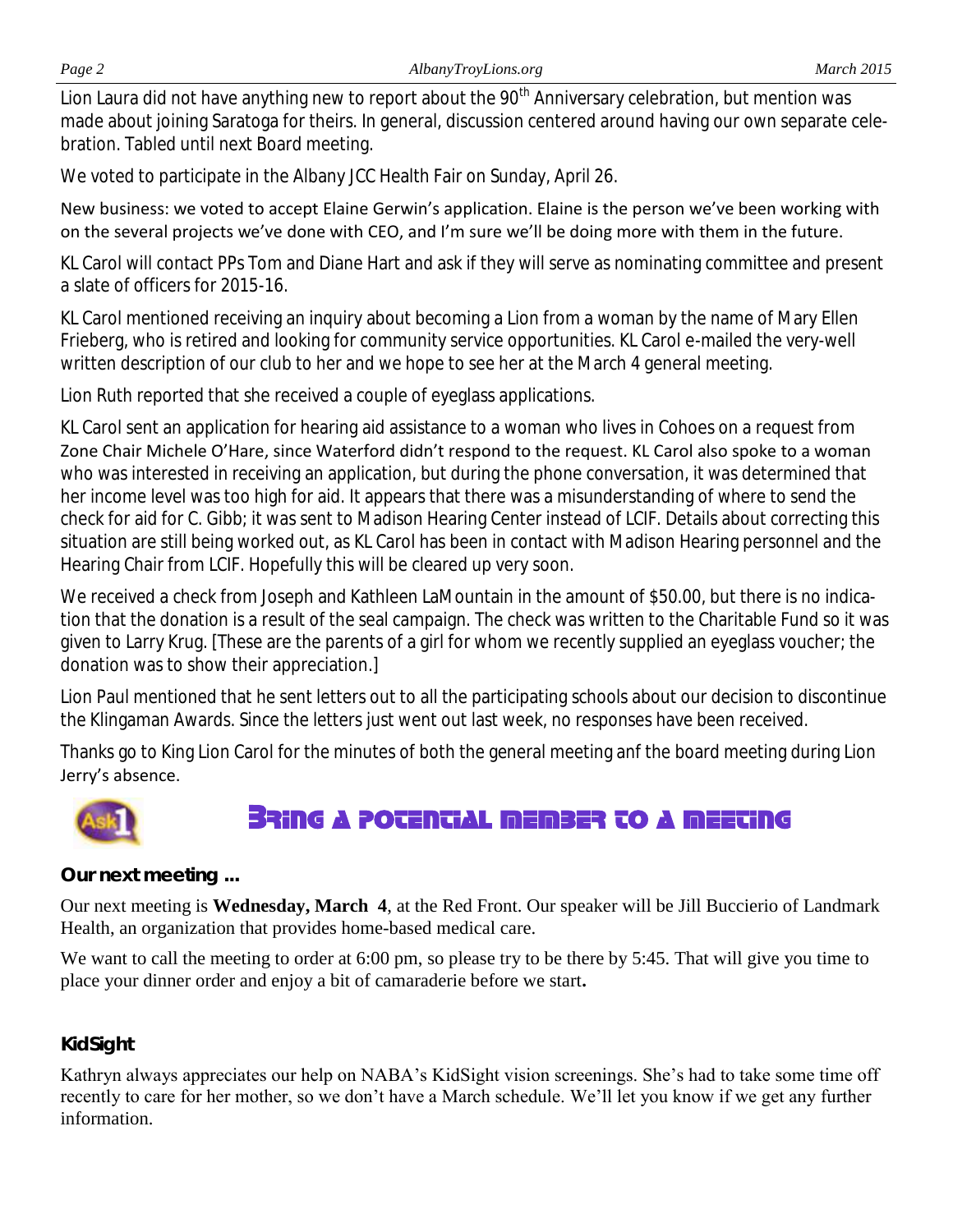Lion Laura did not have anything new to report about the 90<sup>th</sup> Anniversary celebration, but mention was made about joining Saratoga for theirs. In general, discussion centered around having our own separate celebration. Tabled until next Board meeting.

We voted to participate in the Albany JCC Health Fair on Sunday, April 26.

New business: we voted to accept Elaine Gerwin's application. Elaine is the person we've been working with on the several projects we've done with CEO, and I'm sure we'll be doing more with them in the future.

KL Carol will contact PPs Tom and Diane Hart and ask if they will serve as nominating committee and present a slate of officers for 2015-16.

KL Carol mentioned receiving an inquiry about becoming a Lion from a woman by the name of Mary Ellen Frieberg, who is retired and looking for community service opportunities. KL Carol e-mailed the very-well written description of our club to her and we hope to see her at the March 4 general meeting.

Lion Ruth reported that she received a couple of eyeglass applications.

KL Carol sent an application for hearing aid assistance to a woman who lives in Cohoes on a request from Zone Chair Michele O'Hare, since Waterford didn't respond to the request. KL Carol also spoke to a woman who was interested in receiving an application, but during the phone conversation, it was determined that her income level was too high for aid. It appears that there was a misunderstanding of where to send the check for aid for C. Gibb; it was sent to Madison Hearing Center instead of LCIF. Details about correcting this situation are still being worked out, as KL Carol has been in contact with Madison Hearing personnel and the Hearing Chair from LCIF. Hopefully this will be cleared up very soon.

We received a check from Joseph and Kathleen LaMountain in the amount of \$50.00, but there is no indication that the donation is a result of the seal campaign. The check was written to the Charitable Fund so it was given to Larry Krug. [These are the parents of a girl for whom we recently supplied an eyeglass voucher; the donation was to show their appreciation.]

Lion Paul mentioned that he sent letters out to all the participating schools about our decision to discontinue the Klingaman Awards. Since the letters just went out last week, no responses have been received.

Thanks go to King Lion Carol for the minutes of both the general meeting anf the board meeting during Lion Jerry's absence.



#### **BRING A POTENTIAL MEMBER TO A MEETING**

#### *Our next meeting ...*

Our next meeting is **Wednesday, March 4**, at the Red Front. Our speaker will be Jill Buccierio of Landmark Health, an organization that provides home-based medical care.

We want to call the meeting to order at 6:00 pm, so please try to be there by 5:45. That will give you time to place your dinner order and enjoy a bit of camaraderie before we start**.**

#### *KidSight*

Kathryn always appreciates our help on NABA's KidSight vision screenings. She's had to take some time off recently to care for her mother, so we don't have a March schedule. We'll let you know if we get any further information.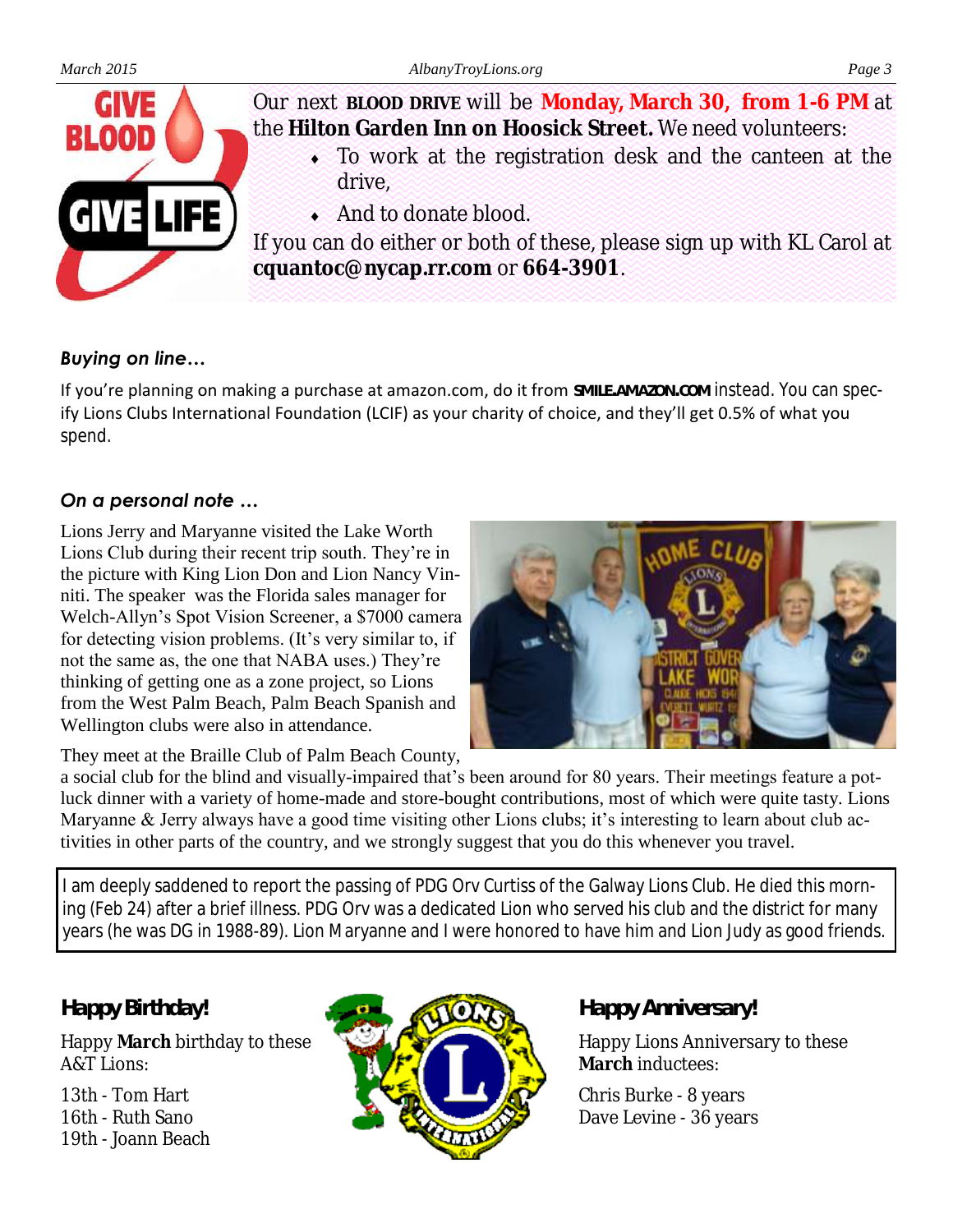

Our next **BLOOD DRIVE** will be **Monday, March 30, from 1-6 PM** at the **Hilton Garden Inn on Hoosick Street.** We need volunteers:

- To work at the registration desk and the canteen at the drive,
- And to donate blood.

If you can do either or both of these, please sign up with KL Carol at **cquantoc@nycap.rr.com** or **664-3901**.

#### *Buying on line…*

If you're planning on making a purchase at amazon.com, do it from **SMILE.AMAZON.COM** instead. You can specify Lions Clubs International Foundation (LCIF) as your charity of choice, and they'll get 0.5% of what you spend.

#### *On a personal note …*

Lions Jerry and Maryanne visited the Lake Worth Lions Club during their recent trip south. They're in the picture with King Lion Don and Lion Nancy Vinniti. The speaker was the Florida sales manager for Welch-Allyn's Spot Vision Screener, a \$7000 camera for detecting vision problems. (It's very similar to, if not the same as, the one that NABA uses.) They're thinking of getting one as a zone project, so Lions from the West Palm Beach, Palm Beach Spanish and Wellington clubs were also in attendance.



They meet at the Braille Club of Palm Beach County,

a social club for the blind and visually-impaired that's been around for 80 years. Their meetings feature a potluck dinner with a variety of home-made and store-bought contributions, most of which were quite tasty. Lions Maryanne & Jerry always have a good time visiting other Lions clubs; it's interesting to learn about club activities in other parts of the country, and we strongly suggest that you do this whenever you travel.

I am deeply saddened to report the passing of PDG Orv Curtiss of the Galway Lions Club. He died this morning (Feb 24) after a brief illness. PDG Orv was a dedicated Lion who served his club and the district for many years (he was DG in 1988-89). Lion Maryanne and I were honored to have him and Lion Judy as good friends.

#### *Happy Birthday!*

Happy **March** birthday to these A&T Lions:

13th - Tom Hart 16th - Ruth Sano 19th - Joann Beach



#### *Happy Anniversary!*

Happy Lions Anniversary to these **March** inductees:

Chris Burke - 8 years Dave Levine - 36 years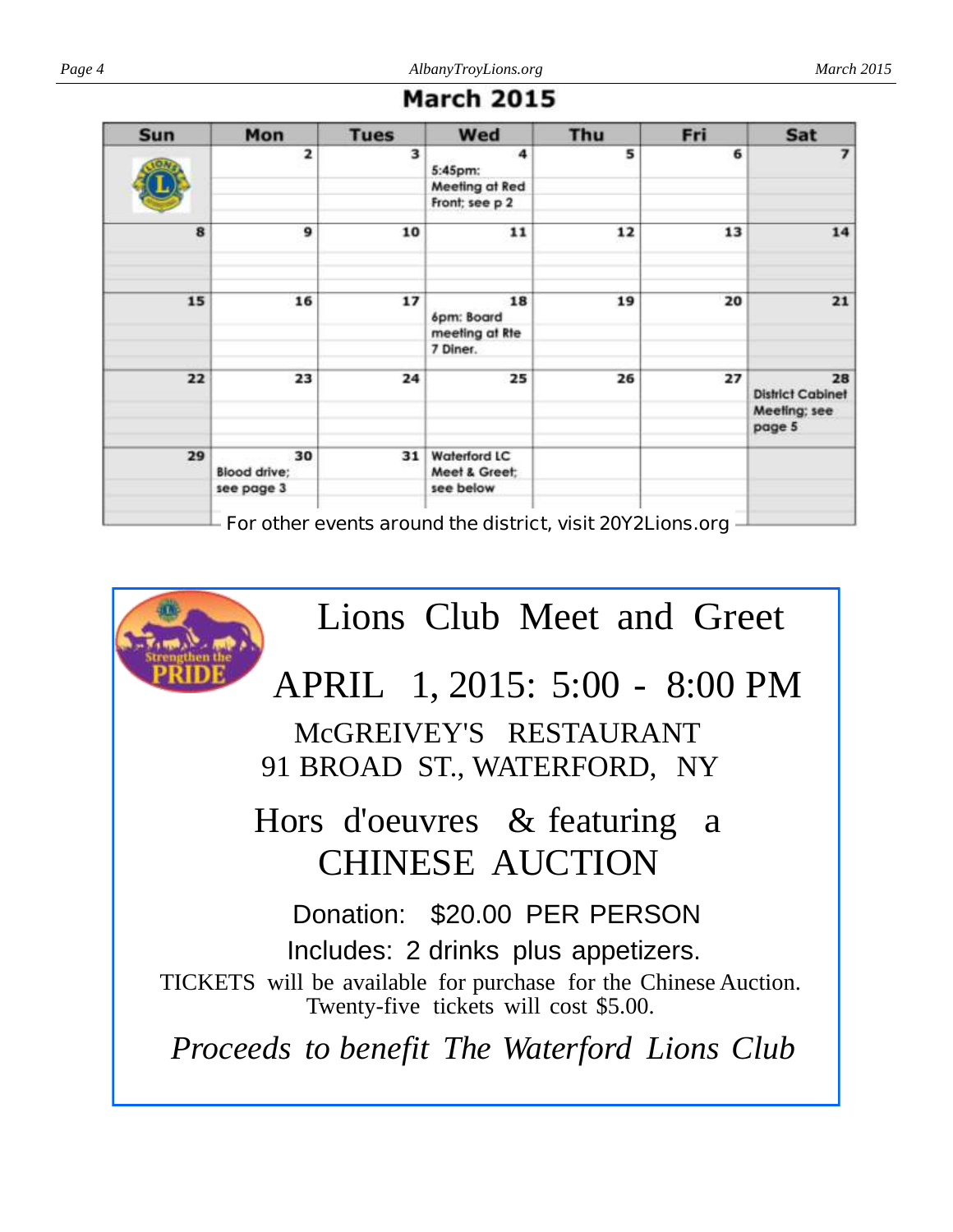| <b>March 2015</b> |  |  |  |  |  |  |  |
|-------------------|--|--|--|--|--|--|--|
|-------------------|--|--|--|--|--|--|--|

| <b>Sun</b> | Mon                 | <b>Tues</b> | Wed                                                         | Thu | Fri | Sat                                     |
|------------|---------------------|-------------|-------------------------------------------------------------|-----|-----|-----------------------------------------|
|            | 2                   | 3           | 4<br>5:45pm:                                                | 5   | 6   | 7                                       |
|            |                     |             | Meeting at Red                                              |     |     |                                         |
|            |                     |             | Front; see p 2                                              |     |     |                                         |
| 8          | 9                   | 10          | 11                                                          | 12  | 13  | 14                                      |
|            |                     |             |                                                             |     |     |                                         |
| 15         | 16                  | 17          | 18<br>6pm: Board                                            | 19  | 20  | 21                                      |
|            |                     |             | meeting at Rte                                              |     |     |                                         |
|            |                     |             | 7 Diner.                                                    |     |     |                                         |
| 22         | 23                  | 24          | 25                                                          | 26  | 27  | 28                                      |
|            |                     |             |                                                             |     |     | <b>District Cabinet</b><br>Meeling; see |
|            |                     |             |                                                             |     |     | page 5                                  |
| 29         | 30                  | 31          | <b>Waterford LC</b>                                         |     |     |                                         |
|            | <b>Blood drive:</b> |             | Meet & Greet:                                               |     |     |                                         |
|            | see page 3          |             | see below                                                   |     |     |                                         |
|            |                     |             | For other events around the district, visit 20Y21 ions org. |     |     |                                         |

**For other events around the district, visit 20Y2Lions.org**

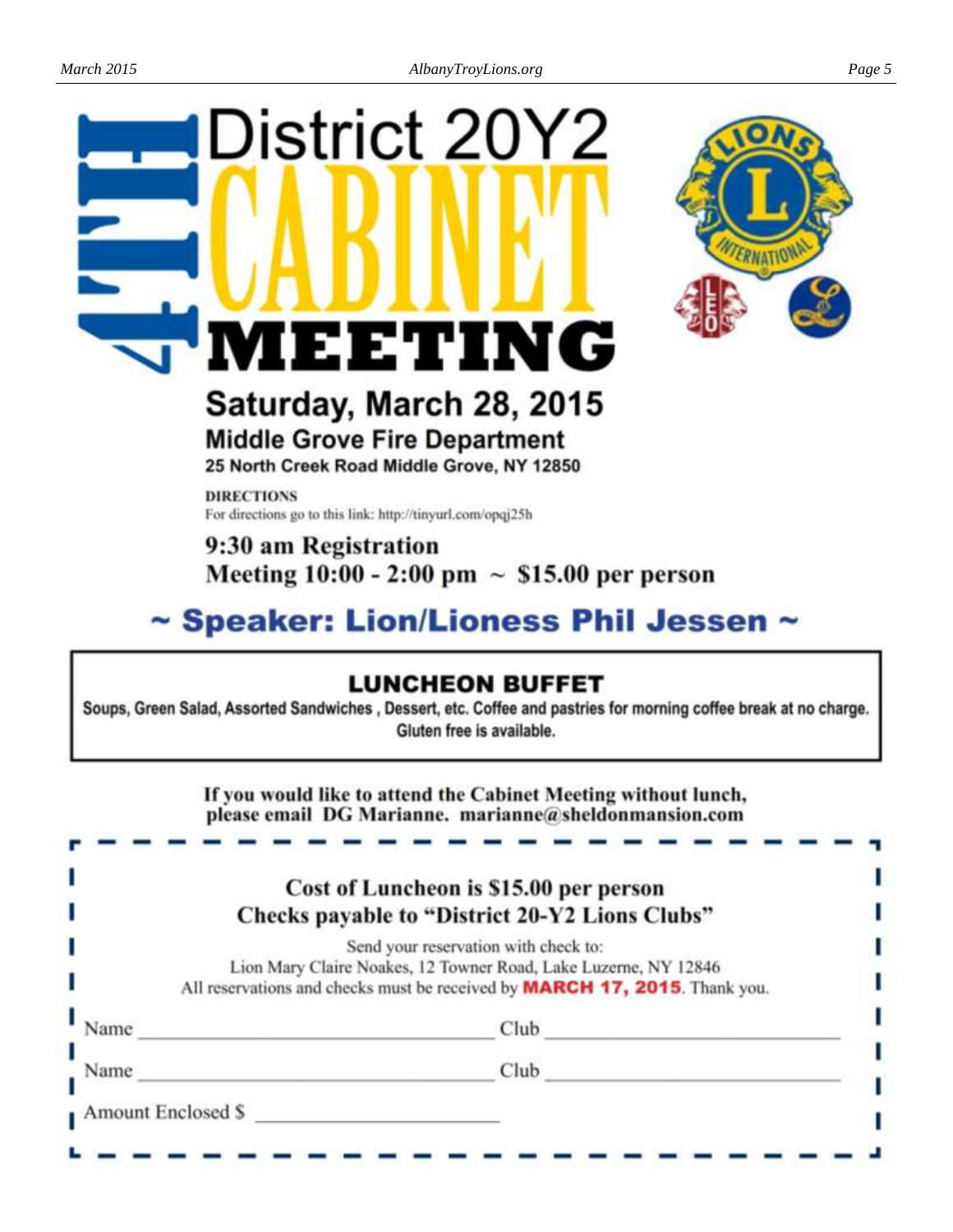# District 20Y2 1EETING



### Saturday, March 28, 2015 **Middle Grove Fire Department**

25 North Creek Road Middle Grove, NY 12850

**DIRECTIONS** For directions go to this link: http://tinyurl.com/opqj25h

#### 9:30 am Registration Meeting  $10:00 - 2:00 \text{ pm} \sim $15.00 \text{ per person}$

#### ~ Speaker: Lion/Lioness Phil Jessen

#### **LUNCHEON BUFFET**

Soups, Green Salad, Assorted Sandwiches, Dessert, etc. Coffee and pastries for morning coffee break at no charge. Gluten free is available.

> If you would like to attend the Cabinet Meeting without lunch, please email DG Marianne. marianne@sheldonmansion.com

| Send your reservation with check to:<br>Lion Mary Claire Noakes, 12 Towner Road, Lake Luzerne, NY 12846<br>All reservations and checks must be received by <b>MARCH 17, 2015</b> . Thank you.<br>Club<br>Name<br>Club<br>Name | Cost of Luncheon is \$15.00 per person<br>Checks payable to "District 20-Y2 Lions Clubs" |
|-------------------------------------------------------------------------------------------------------------------------------------------------------------------------------------------------------------------------------|------------------------------------------------------------------------------------------|
|                                                                                                                                                                                                                               |                                                                                          |
|                                                                                                                                                                                                                               |                                                                                          |
|                                                                                                                                                                                                                               |                                                                                          |